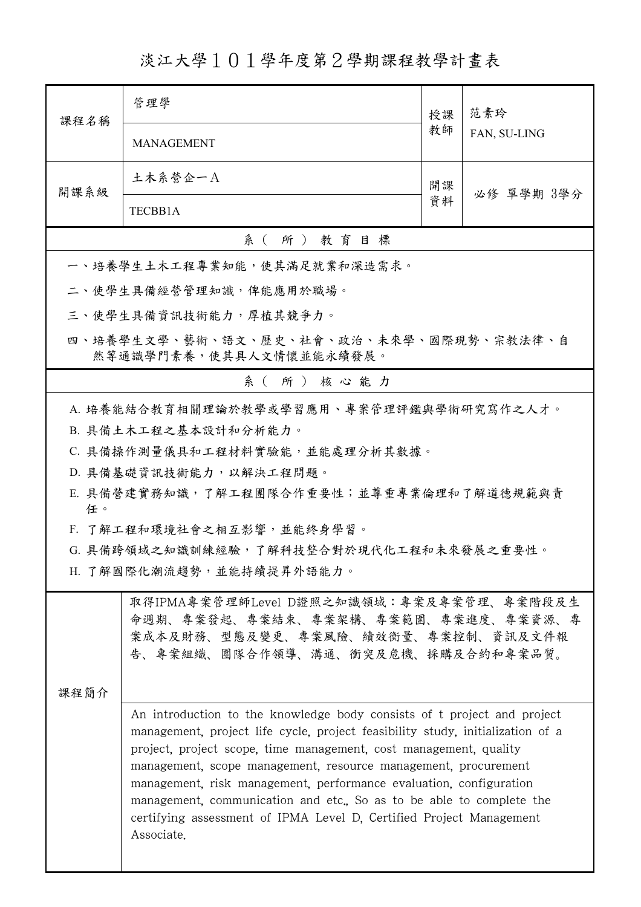淡江大學101學年度第2學期課程教學計畫表

| 課程名稱                                                                                                                                                                | 管理學                                                                                                                                                                                                                                                                                                                                                                                                                                                                                                                                 | 授課 | 范素玲<br>FAN, SU-LING |  |  |  |
|---------------------------------------------------------------------------------------------------------------------------------------------------------------------|-------------------------------------------------------------------------------------------------------------------------------------------------------------------------------------------------------------------------------------------------------------------------------------------------------------------------------------------------------------------------------------------------------------------------------------------------------------------------------------------------------------------------------------|----|---------------------|--|--|--|
|                                                                                                                                                                     | <b>MANAGEMENT</b>                                                                                                                                                                                                                                                                                                                                                                                                                                                                                                                   | 教師 |                     |  |  |  |
| 開課系級                                                                                                                                                                | 土木系營企一A                                                                                                                                                                                                                                                                                                                                                                                                                                                                                                                             | 開課 | 必修 單學期 3學分          |  |  |  |
|                                                                                                                                                                     | <b>TECBB1A</b>                                                                                                                                                                                                                                                                                                                                                                                                                                                                                                                      | 資料 |                     |  |  |  |
|                                                                                                                                                                     | 系(所)教育目標                                                                                                                                                                                                                                                                                                                                                                                                                                                                                                                            |    |                     |  |  |  |
|                                                                                                                                                                     | 一、培養學生土木工程專業知能,使其滿足就業和深造需求。                                                                                                                                                                                                                                                                                                                                                                                                                                                                                                         |    |                     |  |  |  |
|                                                                                                                                                                     | 二、使學生具備經營管理知識,俾能應用於職場。                                                                                                                                                                                                                                                                                                                                                                                                                                                                                                              |    |                     |  |  |  |
|                                                                                                                                                                     | 三、使學生具備資訊技術能力,厚植其競爭力。                                                                                                                                                                                                                                                                                                                                                                                                                                                                                                               |    |                     |  |  |  |
| 四、培養學生文學、藝術、語文、歷史、社會、政治、未來學、國際現勢、宗教法律、自<br>然等通識學門素養,使其具人文情懷並能永續發展。                                                                                                  |                                                                                                                                                                                                                                                                                                                                                                                                                                                                                                                                     |    |                     |  |  |  |
|                                                                                                                                                                     | 系(所)核心能力                                                                                                                                                                                                                                                                                                                                                                                                                                                                                                                            |    |                     |  |  |  |
|                                                                                                                                                                     | A. 培養能結合教育相關理論於教學或學習應用、專案管理評鑑與學術研究寫作之人才。                                                                                                                                                                                                                                                                                                                                                                                                                                                                                            |    |                     |  |  |  |
|                                                                                                                                                                     | B. 具備土木工程之基本設計和分析能力。                                                                                                                                                                                                                                                                                                                                                                                                                                                                                                                |    |                     |  |  |  |
|                                                                                                                                                                     | C. 具備操作測量儀具和工程材料實驗能,並能處理分析其數據。                                                                                                                                                                                                                                                                                                                                                                                                                                                                                                      |    |                     |  |  |  |
|                                                                                                                                                                     | D. 具備基礎資訊技術能力,以解決工程問題。                                                                                                                                                                                                                                                                                                                                                                                                                                                                                                              |    |                     |  |  |  |
| E. 具備營建實務知識,了解工程團隊合作重要性;並尊重專業倫理和了解道德規範與責<br>任。                                                                                                                      |                                                                                                                                                                                                                                                                                                                                                                                                                                                                                                                                     |    |                     |  |  |  |
| F. 了解工程和環境社會之相互影響,並能終身學習。                                                                                                                                           |                                                                                                                                                                                                                                                                                                                                                                                                                                                                                                                                     |    |                     |  |  |  |
| G. 具備跨領域之知識訓練經驗,了解科技整合對於現代化工程和未來發展之重要性。                                                                                                                             |                                                                                                                                                                                                                                                                                                                                                                                                                                                                                                                                     |    |                     |  |  |  |
| H. 了解國際化潮流趨勢,並能持續提昇外語能力。                                                                                                                                            |                                                                                                                                                                                                                                                                                                                                                                                                                                                                                                                                     |    |                     |  |  |  |
| 取得IPMA專案管理師Level D證照之知識領域:專案及專案管理、專案階段及生<br>命週期、專案發起、專案結束、專案架構、專案範圍、專案進度、專案資源、專<br>案成本及財務、型態及變更、專案風險、績效衡量、專案控制、資訊及文件報<br>告、專案組織、團隊合作領導、溝通、衝突及危機、採購及合約和專案品質。<br>課程簡介 |                                                                                                                                                                                                                                                                                                                                                                                                                                                                                                                                     |    |                     |  |  |  |
|                                                                                                                                                                     | An introduction to the knowledge body consists of t project and project<br>management, project life cycle, project feasibility study, initialization of a<br>project, project scope, time management, cost management, quality<br>management, scope management, resource management, procurement<br>management, risk management, performance evaluation, configuration<br>management, communication and etc., So as to be able to complete the<br>certifying assessment of IPMA Level D, Certified Project Management<br>Associate. |    |                     |  |  |  |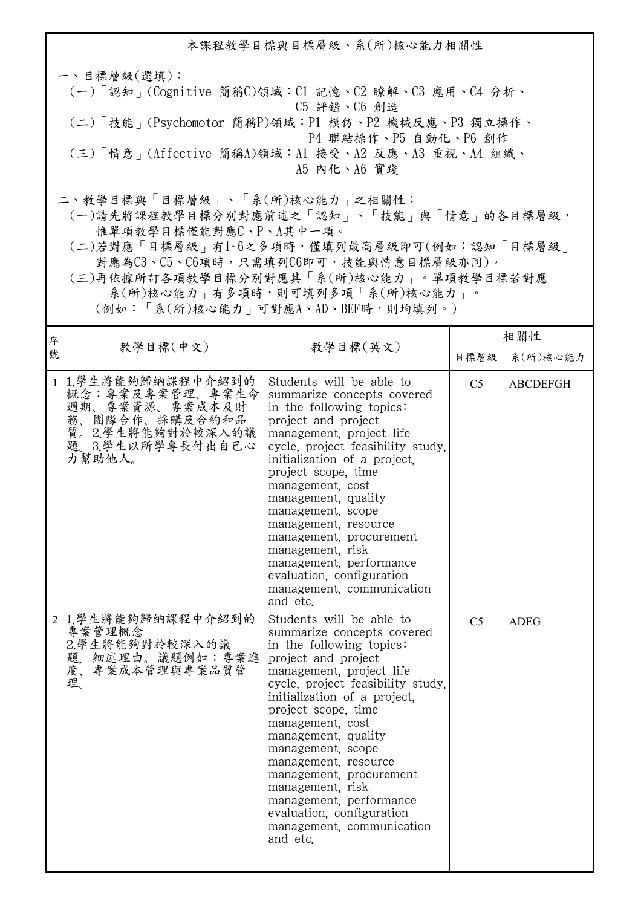本課程教學目標與目標層級、系(所)核心能力相關性 一、目標層級(選填): (一)「認知」(Cognitive 簡稱C)領域:C1 記憶、C2 瞭解、C3 應用、C4 分析、 C5 評鑑、C6 創造 (二)「技能」(Psychomotor 簡稱P)領域:P1 模仿、P2 機械反應、P3 獨立操作、 P4 聯結操作、P5 自動化、P6 創作 (三)「情意」(Affective 簡稱A)領域:A1 接受、A2 反應、A3 重視、A4 組織、 A5 內化、A6 實踐 二、教學目標與「目標層級」、「系(所)核心能力」之相關性:

 (一)請先將課程教學目標分別對應前述之「認知」、「技能」與「情意」的各目標層級, 惟單項教學目標僅能對應C、P、A其中一項。

 (二)若對應「目標層級」有1~6之多項時,僅填列最高層級即可(例如:認知「目標層級」 對應為C3、C5、C6項時,只需填列C6即可,技能與情意目標層級亦同)。

 (三)再依據所訂各項教學目標分別對應其「系(所)核心能力」。單項教學目標若對應 「系(所)核心能力」有多項時,則可填列多項「系(所)核心能力」。

(例如:「系(所)核心能力」可對應A、AD、BEF時,則均填列。)

| 序            |                                                                                                                           | 教學目標(英文)                                                                                                                                                                                                                                                                                                                                                                                                                                                                  | 相關性            |                 |
|--------------|---------------------------------------------------------------------------------------------------------------------------|---------------------------------------------------------------------------------------------------------------------------------------------------------------------------------------------------------------------------------------------------------------------------------------------------------------------------------------------------------------------------------------------------------------------------------------------------------------------------|----------------|-----------------|
| 號            | 教學目標(中文)                                                                                                                  |                                                                                                                                                                                                                                                                                                                                                                                                                                                                           | 目標層級           | 系(所)核心能力        |
| $\mathbf{1}$ | 1.學生將能夠歸納課程中介紹到的<br>概念:專案及專案管理、專案生命<br>週期、專案資源、專案成本及財<br>務、團隊合作、採購及合約和品<br>質。2.學生將能夠對於較深入的議<br>題。3.學生以所學專長付出自己心<br>力幫助他人。 | Students will be able to<br>summarize concepts covered<br>in the following topics:<br>project and project<br>management, project life<br>cycle, project feasibility study,<br>initialization of a project,<br>project scope, time<br>management, cost<br>management, quality<br>management, scope<br>management, resource<br>management, procurement<br>management, risk<br>management, performance<br>evaluation, configuration<br>management, communication<br>and etc. | C <sub>5</sub> | <b>ABCDEFGH</b> |
|              | 2 1.學生將能夠歸納課程中介紹到的<br>專案管理概念<br>2.學生將能夠對於較深入的議<br>題, 細述理由。議題例如:專案進<br>度、專案成本管理與專案品質管<br>理。                                | Students will be able to<br>summarize concepts covered<br>in the following topics:<br>project and project<br>management, project life<br>cycle, project feasibility study,<br>initialization of a project.<br>project scope, time<br>management, cost<br>management, quality<br>management, scope<br>management, resource<br>management, procurement<br>management, risk<br>management, performance<br>evaluation, configuration<br>management, communication<br>and etc. | C <sub>5</sub> | <b>ADEG</b>     |
|              |                                                                                                                           |                                                                                                                                                                                                                                                                                                                                                                                                                                                                           |                |                 |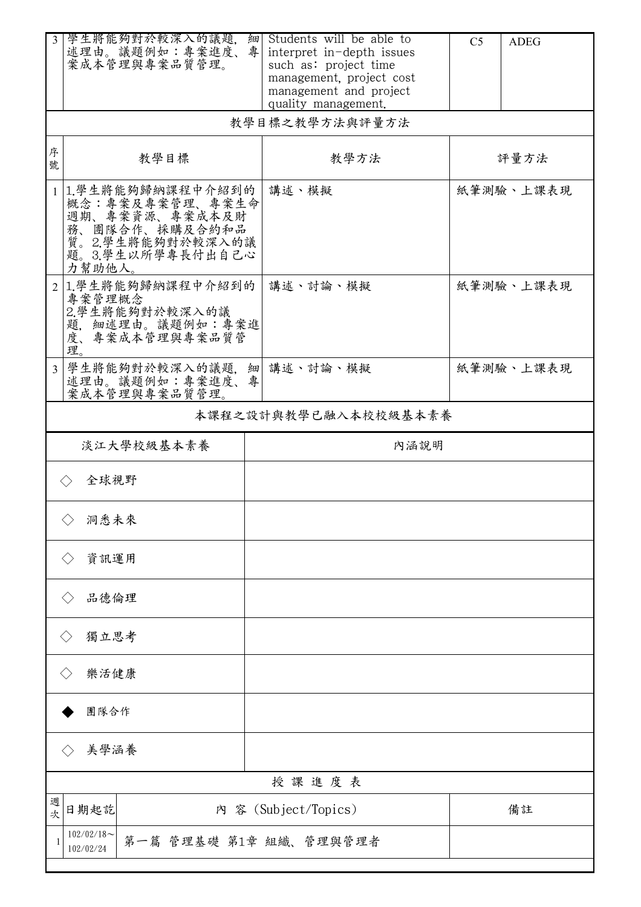| $\mathbf{3}$   | 學生將能夠對於較深入的議題,<br>述理由。議題例如:專案進度、<br>案成本管理與專案品質管理。                                                                         | 細<br>專 | Students will be able to<br>interpret in-depth issues<br>such as: project time<br>management, project cost<br>management and project<br>quality management. | C <sub>5</sub> | <b>ADEG</b> |
|----------------|---------------------------------------------------------------------------------------------------------------------------|--------|-------------------------------------------------------------------------------------------------------------------------------------------------------------|----------------|-------------|
|                |                                                                                                                           |        | 教學目標之教學方法與評量方法                                                                                                                                              |                |             |
| 序<br>號         | 教學目標                                                                                                                      |        | 教學方法                                                                                                                                                        | 評量方法           |             |
| $\mathbf{1}$   | 1.學生將能夠歸納課程中介紹到的<br>概念:專案及專案管理、專案生命<br>週期、專案資源、專案成本及財<br>務、團隊合作、採購及合約和品<br>質。2.學生將能夠對於較深入的議<br>題。3.學生以所學專長付出自己心<br>力幫助他人。 |        | 講述、模擬                                                                                                                                                       | 紙筆測驗、上課表現      |             |
| 2 <sup>1</sup> | 1.學生將能夠歸納課程中介紹到的<br>專案管理概念<br>2.學生將能夠對於較深入的議<br>題, 細述理由。議題例如:專案進<br>度、專案成本管理與專案品質管<br>理。                                  |        | 講述、討論、模擬                                                                                                                                                    |                | 紙筆測驗、上課表現   |
| 3              | 學生將能夠對於較深入的議題.<br>述理由。議題例如:專案進度、<br>案成本管理與專案品質管理。                                                                         | 細<br>專 | 講述、討論、模擬                                                                                                                                                    |                | 紙筆測驗、上課表現   |
|                | 本課程之設計與教學已融入本校校級基本素養                                                                                                      |        |                                                                                                                                                             |                |             |
|                | 淡江大學校級基本素養<br>內涵說明                                                                                                        |        |                                                                                                                                                             |                |             |
|                | 全球視野<br>$\langle \ \rangle$                                                                                               |        |                                                                                                                                                             |                |             |
|                | 洞悉未來                                                                                                                      |        |                                                                                                                                                             |                |             |
|                | 資訊運用                                                                                                                      |        |                                                                                                                                                             |                |             |
|                | 品德倫理                                                                                                                      |        |                                                                                                                                                             |                |             |
|                | 獨立思考                                                                                                                      |        |                                                                                                                                                             |                |             |
|                | 樂活健康                                                                                                                      |        |                                                                                                                                                             |                |             |
|                | 團隊合作                                                                                                                      |        |                                                                                                                                                             |                |             |
|                | 美學涵養                                                                                                                      |        |                                                                                                                                                             |                |             |
|                |                                                                                                                           |        | 授課進度表                                                                                                                                                       |                |             |
| 週<br>次         | 日期起訖                                                                                                                      |        | 內 容 (Subject/Topics)                                                                                                                                        |                | 備註          |
|                | $102/02/18$ ~<br>第一篇 管理基礎 第1章 組織、管理與管理者<br>102/02/24                                                                      |        |                                                                                                                                                             |                |             |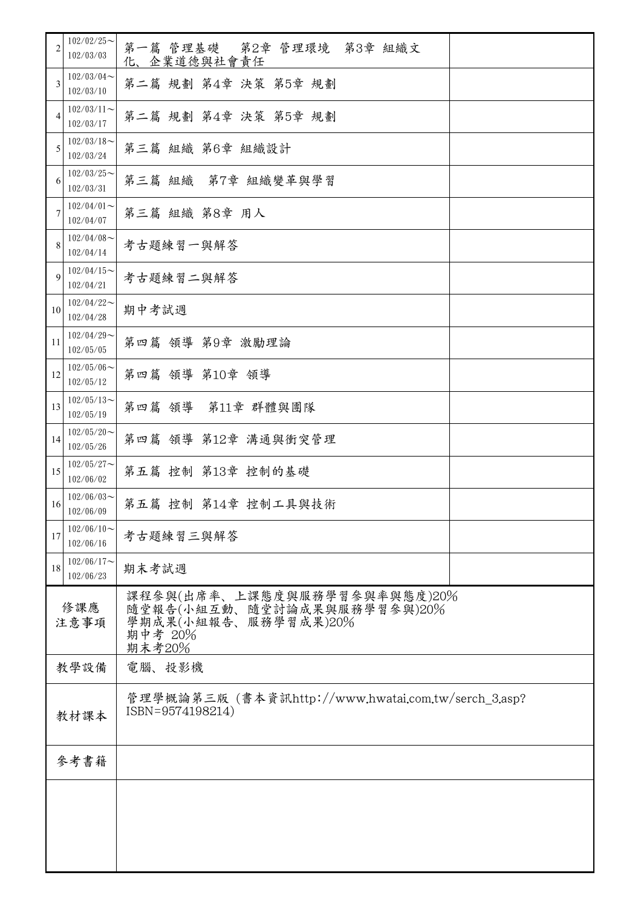| $\overline{2}$ | $102/02/25$ ~<br>102/03/03                                                      | 第一篇 管理基礎 第2章 管理環境 第3章 組織文<br>化、企業道德與社會責任                                                                 |  |  |
|----------------|---------------------------------------------------------------------------------|----------------------------------------------------------------------------------------------------------|--|--|
| 3              | $102/03/04$ ~<br>102/03/10                                                      | 第二篇 規劃 第4章 決策 第5章 規劃                                                                                     |  |  |
| 4              | $102/03/11$ ~<br>102/03/17                                                      | 第二篇 規劃 第4章 決策 第5章 規劃                                                                                     |  |  |
| 5              | $102/03/18$ ~<br>102/03/24                                                      | 第三篇 組織 第6章 組織設計                                                                                          |  |  |
| 6              | $102/03/25$ ~<br>102/03/31                                                      | 第三篇 組織 第7章 組織變革與學習                                                                                       |  |  |
|                | $102/04/01$ ~<br>102/04/07                                                      | 第三篇 組織 第8章 用人                                                                                            |  |  |
| 8              | $102/04/08$ ~<br>102/04/14                                                      | 考古題練習一與解答                                                                                                |  |  |
| 9              | $102/04/15$ ~<br>102/04/21                                                      | 考古題練習二與解答                                                                                                |  |  |
| 10             | $102/04/22$ ~<br>102/04/28                                                      | 期中考試週                                                                                                    |  |  |
| 11             | $102/04/29$ ~<br>102/05/05                                                      | 第四篇 領導 第9章 激勵理論                                                                                          |  |  |
| 12             | $102/05/06$ ~<br>102/05/12                                                      | 第四篇 領導 第10章 領導                                                                                           |  |  |
| 13             | $102/05/13$ ~<br>102/05/19                                                      | 第四篇 領導 第11章 群體與團隊                                                                                        |  |  |
| 14             | $102/05/20$ ~<br>102/05/26                                                      | 第四篇 領導 第12章 溝通與衝突管理                                                                                      |  |  |
| 15             | $102/05/27$ ~<br>102/06/02                                                      | 第五篇 控制 第13章 控制的基礎                                                                                        |  |  |
| 16             | $102/06/03$ ~<br>102/06/09                                                      | 第五篇 控制 第14章 控制工具與技術                                                                                      |  |  |
| 17             | $102/06/10$ ~<br>102/06/16                                                      | 考古題練習三與解答                                                                                                |  |  |
| 18             | $102/06/17$ ~<br>102/06/23                                                      | 期末考試週                                                                                                    |  |  |
|                | 修課應<br>注意事項                                                                     | 課程參與(出席率、上課態度與服務學習參與率與態度)20%<br>隨堂報告(小組互動、隨堂討論成果與服務學習參與)20%<br>學期成果(小組報告、服務學習成果)20%<br>期中考 20%<br>期末考20% |  |  |
|                | 教學設備                                                                            | 電腦、投影機                                                                                                   |  |  |
|                | 管理學概論第三版 (書本資訊http://www.hwatai.com.tw/serch 3.asp?<br>ISBN=9574198214)<br>教材課本 |                                                                                                          |  |  |
|                | 參考書籍                                                                            |                                                                                                          |  |  |
|                |                                                                                 |                                                                                                          |  |  |
|                |                                                                                 |                                                                                                          |  |  |
|                |                                                                                 |                                                                                                          |  |  |